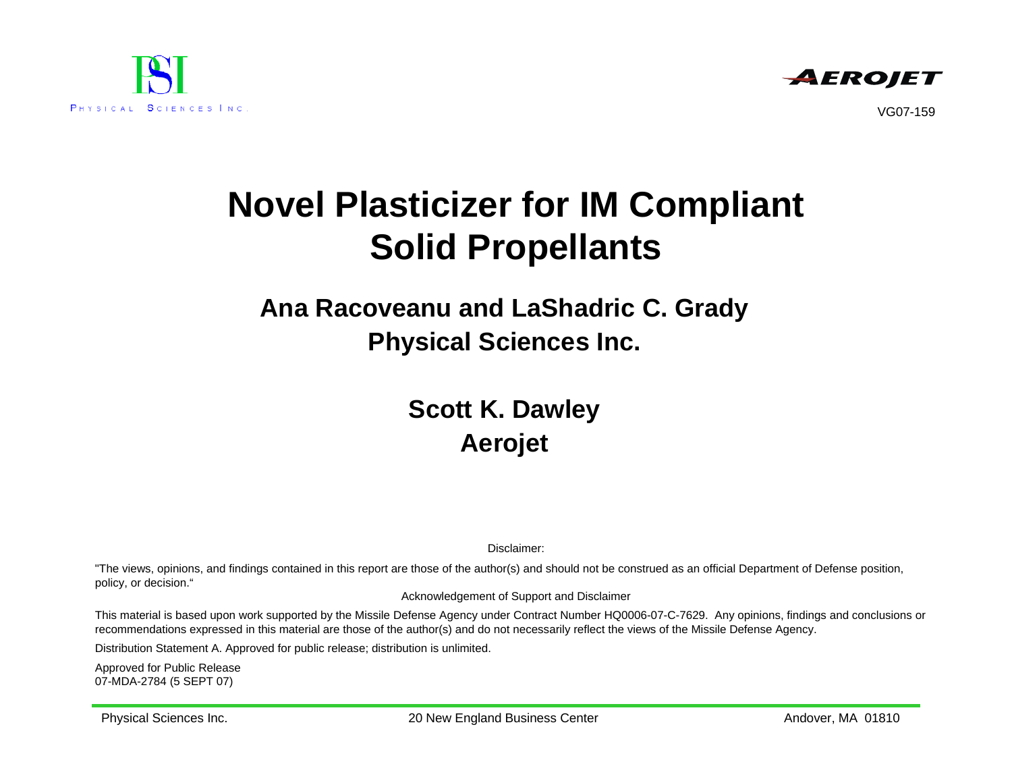



VG07-159

# **Novel Plasticizer for IM Compliant Solid Propellants**

#### **Ana Racoveanu and LaShadric C. Grady Physical Sciences Inc.**

#### **Scott K. Dawley Aerojet**

Disclaimer:

"The views, opinions, and findings contained in this report are those of the author(s) and should not be construed as an official Department of Defense position, policy, or decision."

Acknowledgement of Support and Disclaimer

This material is based upon work supported by the Missile Defense Agency under Contract Number HQ0006-07-C-7629. Any opinions, findings and conclusions or recommendations expressed in this material are those of the author(s) and do not necessarily reflect the views of the Missile Defense Agency.

Distribution Statement A. Approved for public release; distribution is unlimited.

Approved for Public Release 07-MDA-2784 (5 SEPT 07)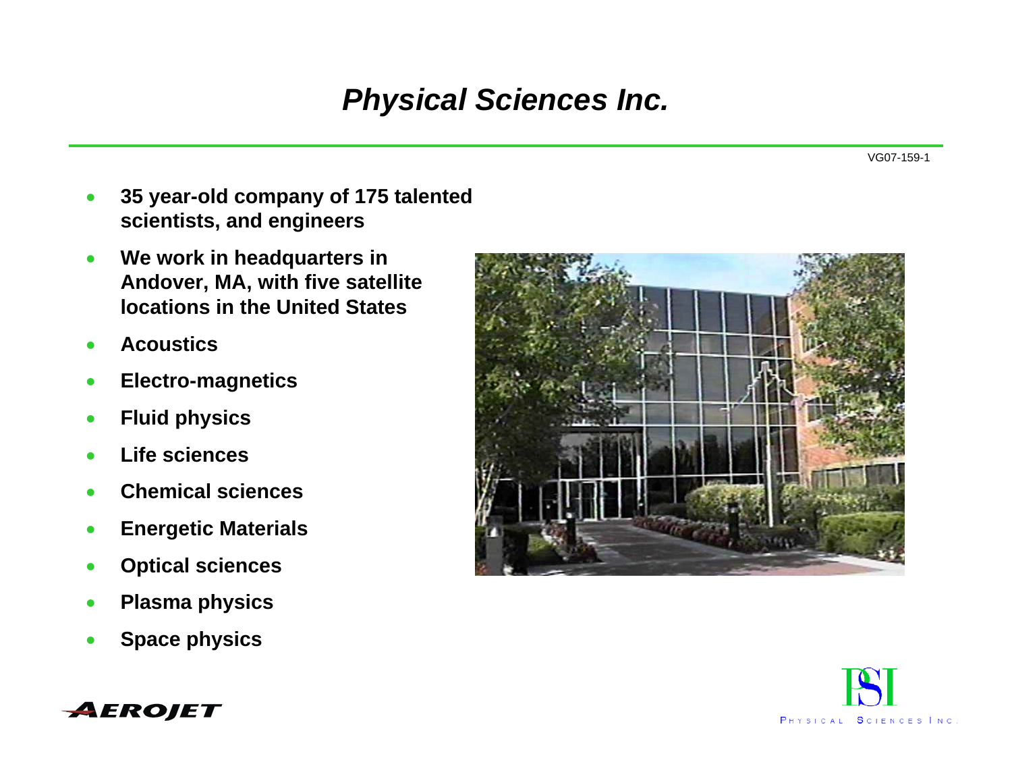### *Physical Sciences Inc.*

- • **35 year-old company of 175 talented scientists, and engineers**
- • **We work in headquarters in Andover, MA, with five satellite locations in the United States**
- •**Acoustics**
- •**Electro-magnetics**
- •**Fluid physics**
- •**Life sciences**
- •**Chemical sciences**
- •**Energetic Materials**
- •**Optical sciences**
- •**Plasma physics**
- •**Space physics**





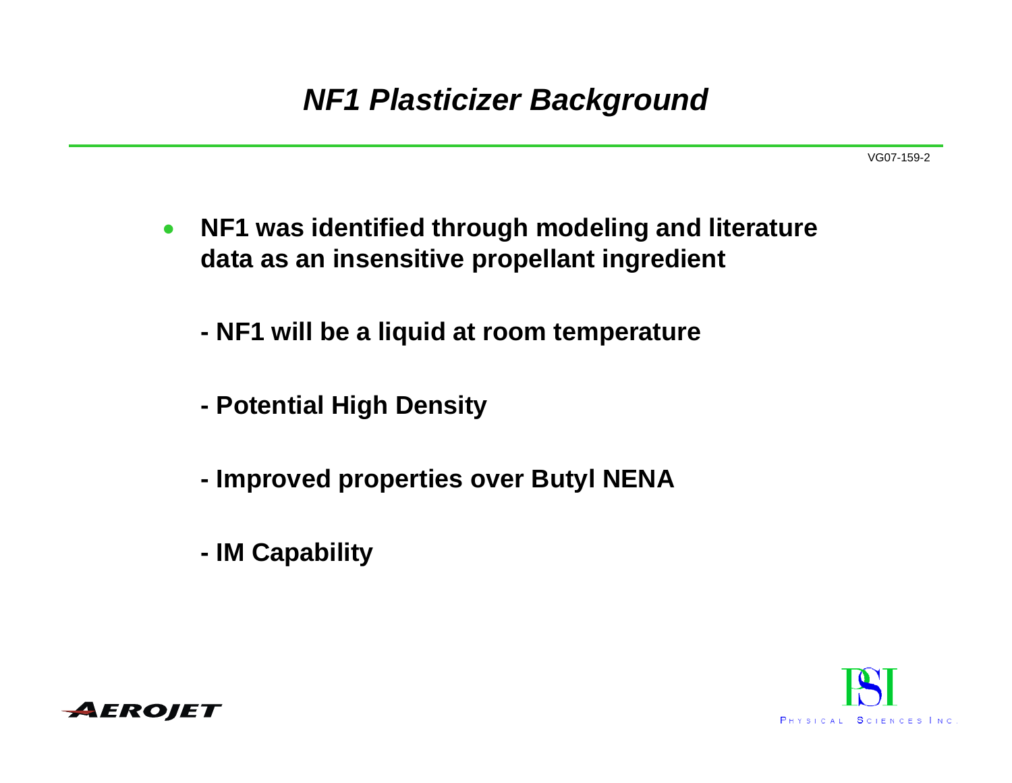### *NF1 Plasticizer Background*

- $\bullet$  **NF1 was identified through modeling and literature data as an insensitive propellant ingredient**
	- **NF1 will be a liquid at room temperature**
	- **Potential High Density**
	- **Improved properties over Butyl NENA**
	- **IM Capability**



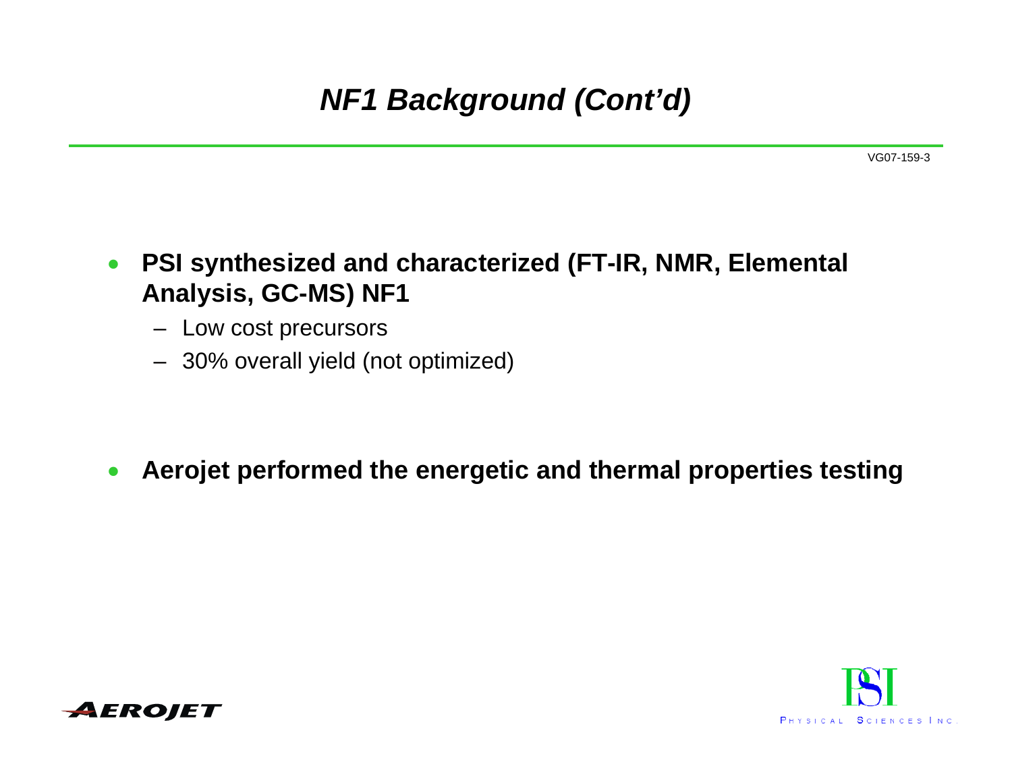# *NF1 Background (Cont'd)*

#### $\bullet$  **PSI synthesized and characterized (FT-IR, NMR, Elemental Analysis, GC-MS) NF1**

- Low cost precursors
- 30% overall yield (not optimized)

#### •**Aerojet performed the energetic and thermal properties testing**



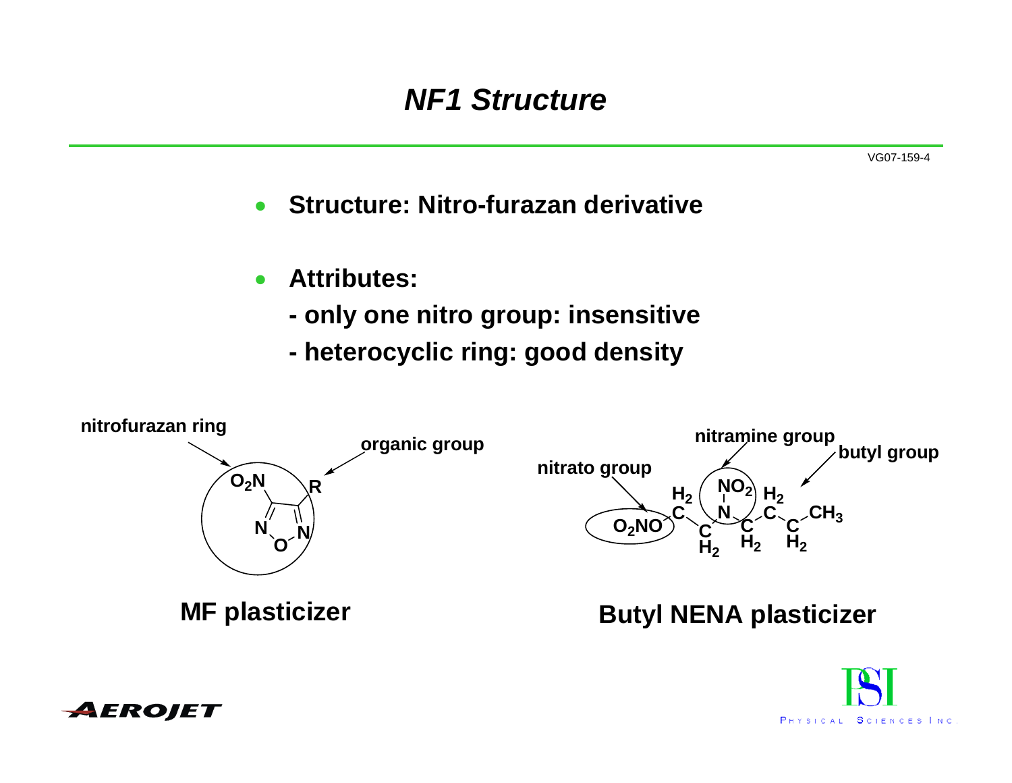## *NF1 Structure*

VG07-159-4

•**Structure: Nitro-furazan derivative**

- $\bullet$  **Attributes:** 
	- **only one nitro group: insensitive**
	- **heterocyclic ring: good density**





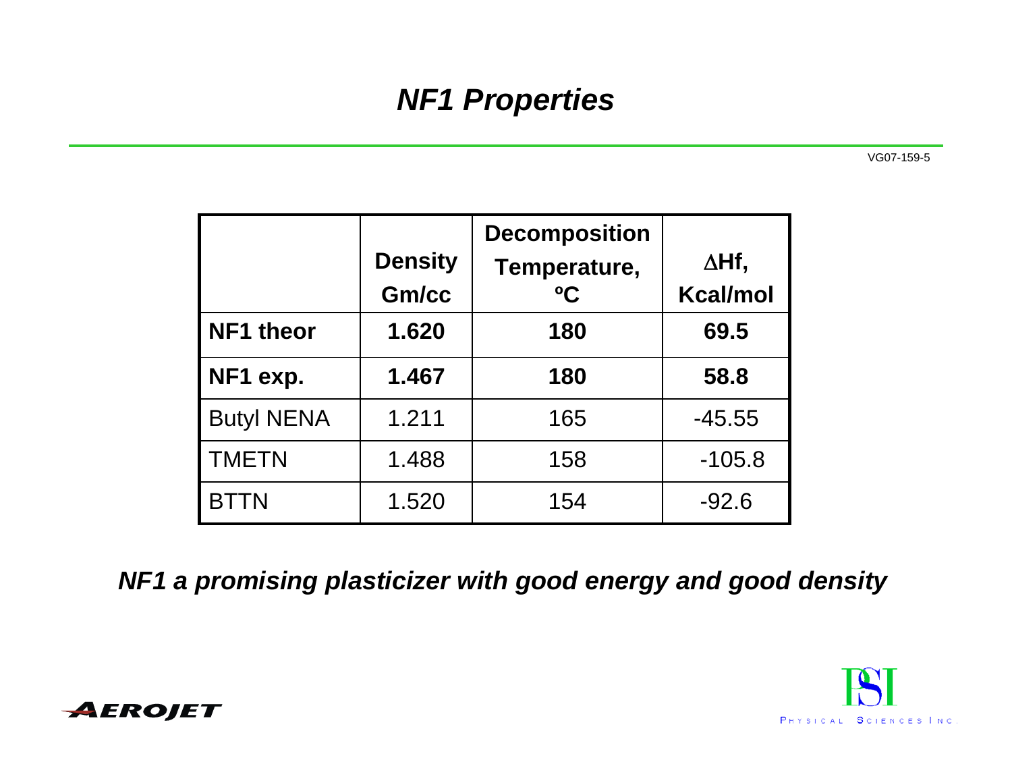# *NF1 Properties*

VG07-159-5

|                   | <b>Density</b><br>Gm/cc | <b>Decomposition</b><br>Temperature,<br>$\rm ^0C$ | ∆Hf,<br><b>Kcal/mol</b> |
|-------------------|-------------------------|---------------------------------------------------|-------------------------|
| <b>NF1 theor</b>  | 1.620                   | 180                                               | 69.5                    |
| NF1 exp.          | 1.467                   | 180                                               | 58.8                    |
| <b>Butyl NENA</b> | 1.211                   | 165                                               | $-45.55$                |
| <b>TMETN</b>      | 1.488                   | 158                                               | $-105.8$                |
| <b>BTTN</b>       | 1.520                   | 154                                               | $-92.6$                 |

*NF1 a promising plasticizer with good energy and good density*



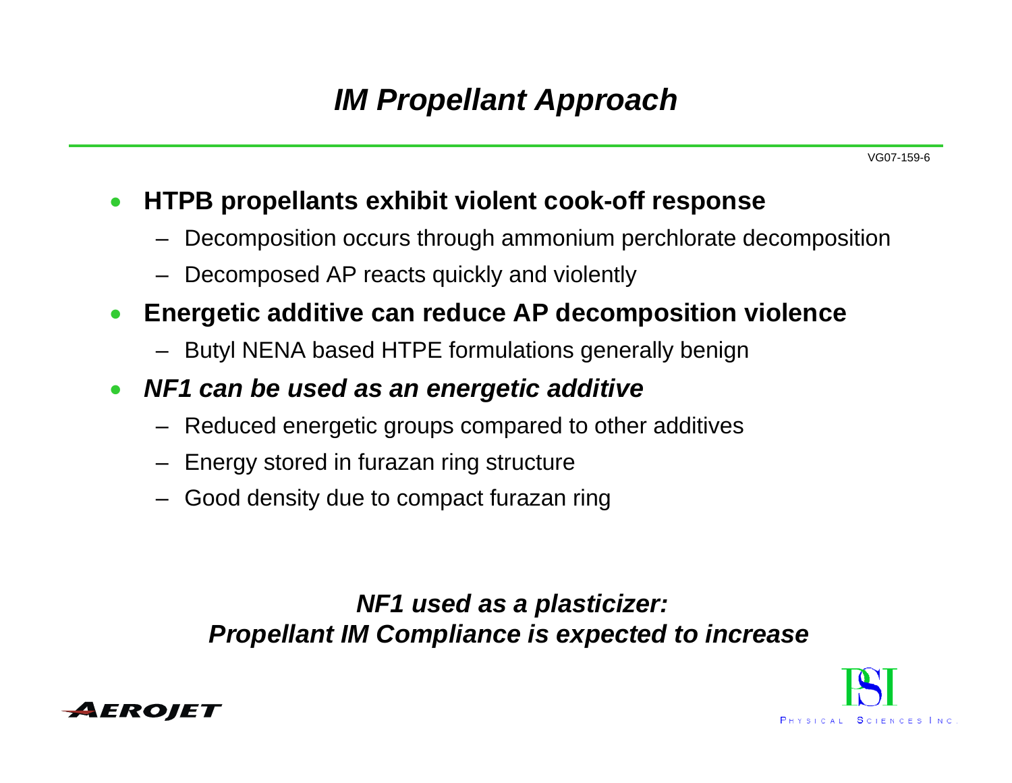# *IM Propellant Approach*

#### $\bullet$ **HTPB propellants exhibit violent cook-off response**

- Decomposition occurs through ammonium perchlorate decomposition
- Decomposed AP reacts quickly and violently
- $\bullet$  **Energetic additive can reduce AP decomposition violence**
	- Butyl NENA based HTPE formulations generally benign
- $\bullet$  *NF1 can be used as an energetic additive*
	- Reduced energetic groups compared to other additives
	- Energy stored in furazan ring structure
	- Good density due to compact furazan ring

*NF1 used as a plasticizer: Propellant IM Compliance is expected to increase* 



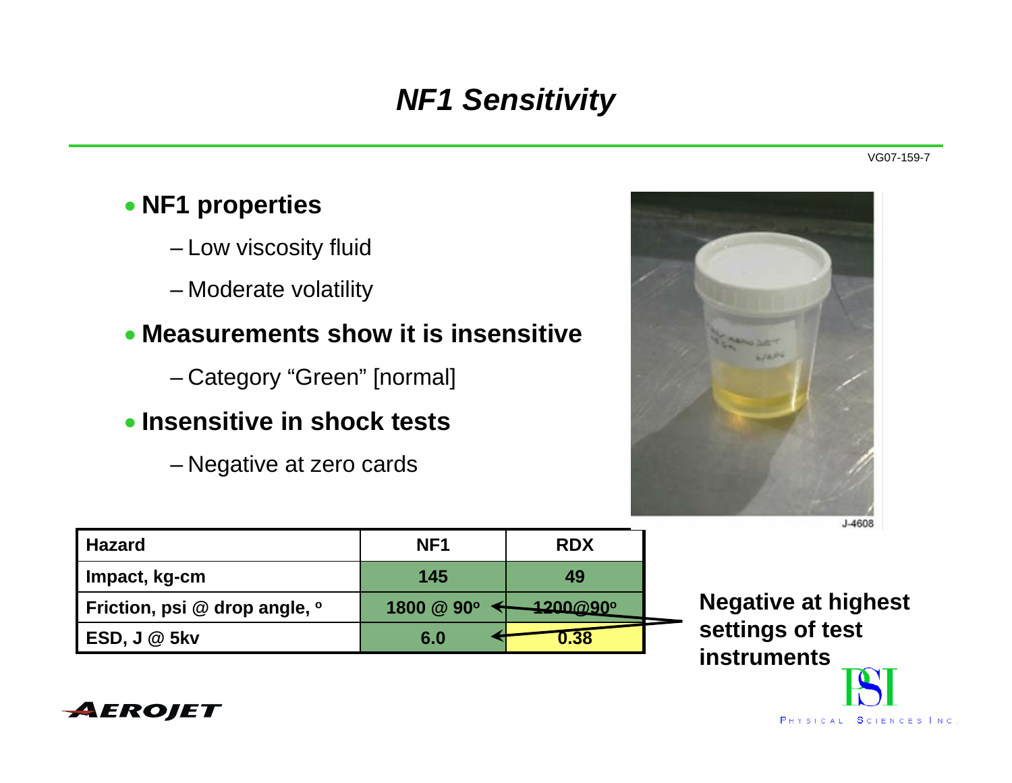# *NF1 Sensitivity*

#### • **NF1 properties**

- Low viscosity fluid
- Moderate volatility

#### • **Measurements show it is insensitive**

- Category "Green" [normal]
- **Insensitive in shock tests**
	- Negative at zero cards



J-4608

| <b>Hazard</b>                 | NF <sub>1</sub> | <b>RDX</b>      |  |
|-------------------------------|-----------------|-----------------|--|
| Impact, kg-cm                 | 145             | 49              |  |
| Friction, psi @ drop angle, o | 1800 @ 90°      | <b>4200@90°</b> |  |
| <b>ESD, J @ 5kv</b>           | 6.0             | $-1.38$         |  |

**Negative at highest settings of test instruments**

![](_page_7_Picture_13.jpeg)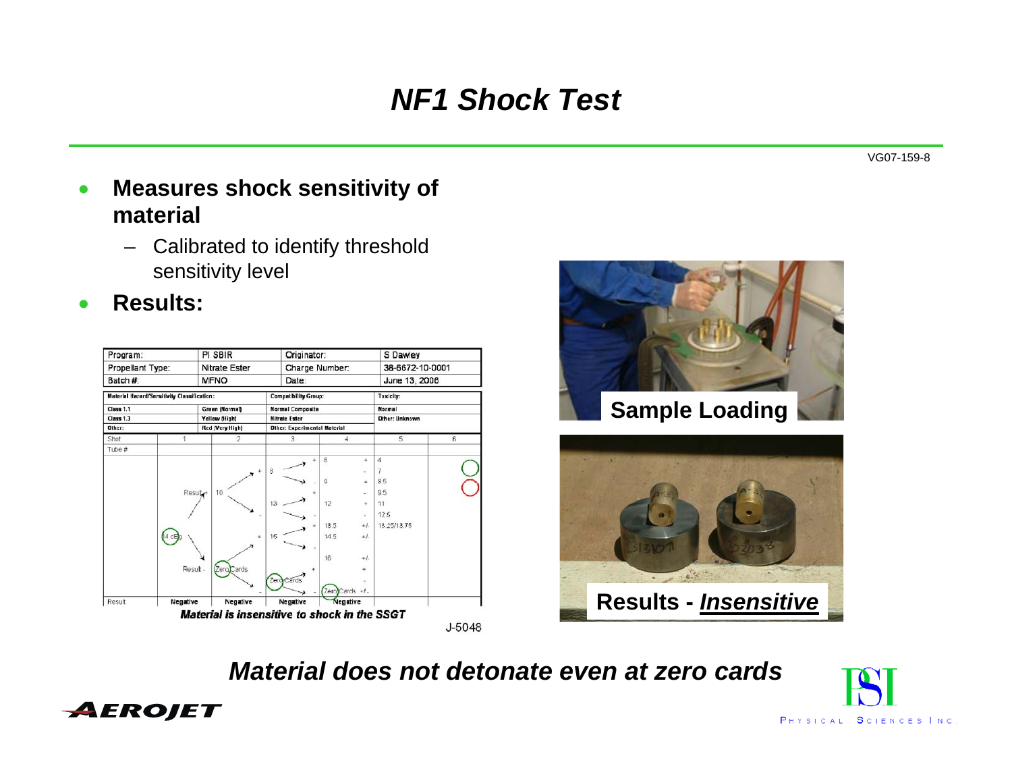# *NF1 Shock Test*

VG07-159-8

- • **Measures shock sensitivity of material**
	- Calibrated to identify threshold sensitivity level
- •**Results:**

| Program:<br>Propellant Type:<br>Batch #: |                                             | PI SBIR                     | Originator:                         |                | S Dawley                 |                 |  |
|------------------------------------------|---------------------------------------------|-----------------------------|-------------------------------------|----------------|--------------------------|-----------------|--|
|                                          |                                             | Nitrate Ester               |                                     | Charge Number: |                          | 38-6672-10-0001 |  |
|                                          |                                             | <b>MFNO</b>                 | Date:                               |                | June 13, 2006            |                 |  |
|                                          | Material Hazard/Sensitivity Classification: | <b>Compatibility Group:</b> |                                     | Toxicity:      |                          |                 |  |
| <b>Class 1.1</b>                         |                                             | Green (Normal)              | <b>Normal Composite</b>             |                | Normal<br>Other: Unknown |                 |  |
| <b>Class 1.3</b>                         |                                             | Yellow (High)               | <b>Nitrate Ester</b>                |                |                          |                 |  |
| Other:                                   |                                             | Red (Very High)             | <b>Other: Experimental Material</b> |                |                          |                 |  |
| Shot                                     |                                             | 2                           | 3                                   | 4              | 5                        | 6               |  |
| Tube #                                   |                                             |                             |                                     |                |                          |                 |  |
|                                          |                                             |                             |                                     | 6<br>÷,        | 4                        |                 |  |
|                                          |                                             |                             | 8                                   |                |                          |                 |  |
|                                          |                                             |                             |                                     | g              | 8.5                      |                 |  |
|                                          | Result+                                     | 10                          |                                     |                | 95                       |                 |  |
|                                          |                                             |                             | 13                                  | 12<br>4        | 11                       |                 |  |
|                                          |                                             |                             |                                     | i,             | 12.5                     |                 |  |
|                                          |                                             |                             |                                     | 13.5<br>$+1$   | 13.25/13.75              |                 |  |
|                                          |                                             |                             | 15                                  | 14.5<br>$+1$   |                          |                 |  |
|                                          |                                             |                             |                                     |                |                          |                 |  |
|                                          |                                             |                             |                                     | 16<br>$+1$     |                          |                 |  |
|                                          | Result                                      | ards                        |                                     |                |                          |                 |  |
|                                          |                                             |                             | Zerd Cards                          |                |                          |                 |  |
|                                          |                                             |                             |                                     | ZeroCards +/-  |                          |                 |  |
| Result                                   | Negative                                    | Negative                    | Negative                            | Negative       |                          |                 |  |

![](_page_8_Picture_6.jpeg)

![](_page_8_Picture_7.jpeg)

*Material does not detonate even at zero cards*

![](_page_8_Picture_9.jpeg)

![](_page_8_Picture_10.jpeg)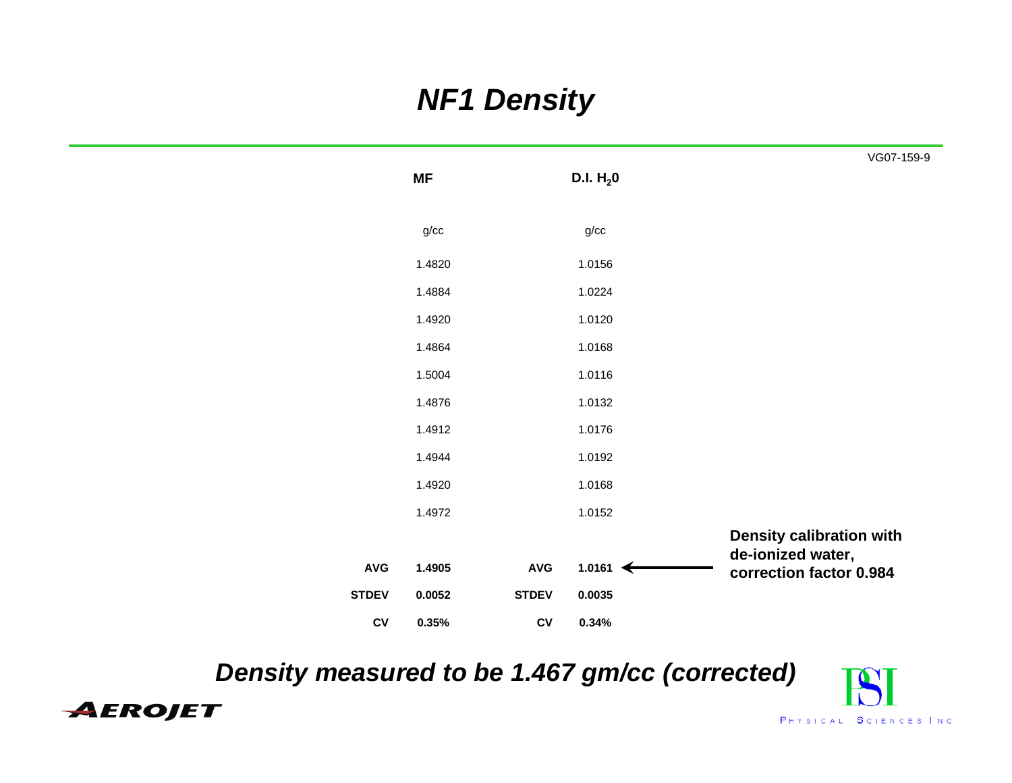# *NF1 Density*

|                |           |                |                     | VG07-159-9                                   |  |
|----------------|-----------|----------------|---------------------|----------------------------------------------|--|
|                | <b>MF</b> |                | D.I. $H_2$ 0        |                                              |  |
|                |           |                |                     |                                              |  |
|                | g/cc      |                | g/cc                |                                              |  |
|                | 1.4820    |                | 1.0156              |                                              |  |
|                | 1.4884    |                | 1.0224              |                                              |  |
|                | 1.4920    |                | 1.0120              |                                              |  |
|                | 1.4864    |                | 1.0168              |                                              |  |
|                | 1.5004    |                | 1.0116              |                                              |  |
|                | 1.4876    |                | 1.0132              |                                              |  |
|                | 1.4912    |                | 1.0176              |                                              |  |
|                | 1.4944    |                | 1.0192              |                                              |  |
|                | 1.4920    |                | 1.0168              |                                              |  |
|                | 1.4972    |                | 1.0152              |                                              |  |
|                |           |                |                     | <b>Density calibration with</b>              |  |
| $\mathsf{AVG}$ | 1.4905    | $\mathsf{AVG}$ | 1.0161 $\leftarrow$ | de-ionized water,<br>correction factor 0.984 |  |
| <b>STDEV</b>   | 0.0052    | <b>STDEV</b>   | 0.0035              |                                              |  |
| ${\sf CV}$     | 0.35%     | ${\sf CV}$     | 0.34%               |                                              |  |

*Density measured to be 1.467 gm/cc (corrected)* 

![](_page_9_Picture_3.jpeg)

![](_page_9_Picture_4.jpeg)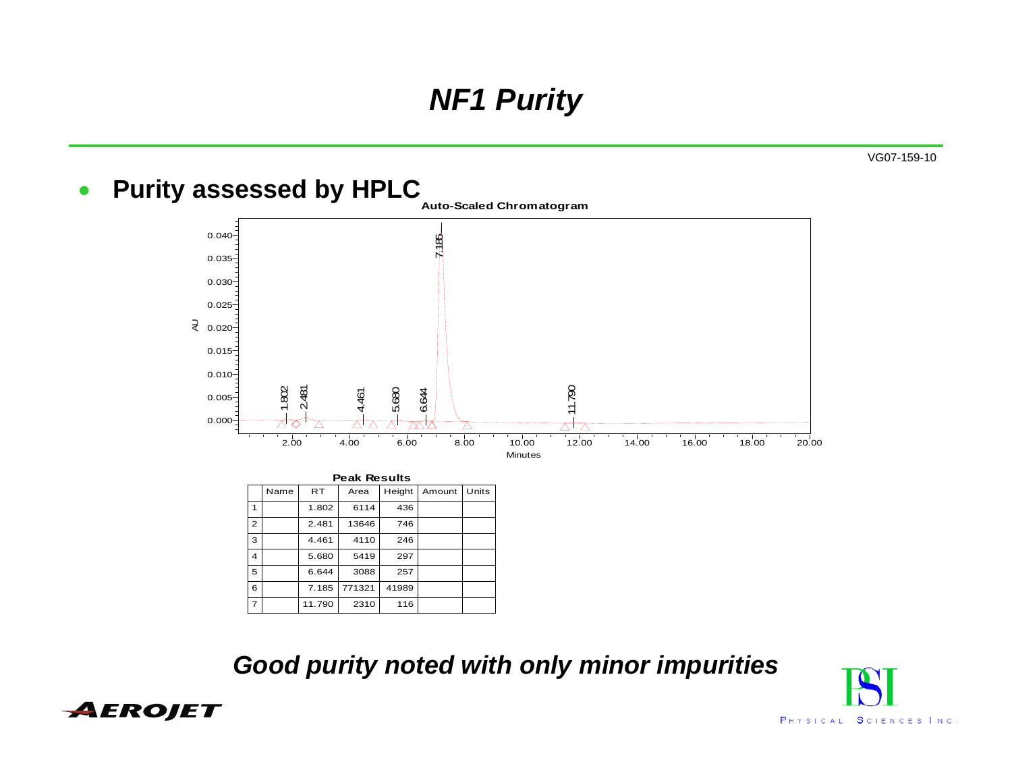# *NF1 Purity*

VG07-159-10

#### $\bullet$ Purity assessed by HPLC<sub>Auto-Scaled Chromatogram</sub>

![](_page_10_Figure_3.jpeg)

|                         | <b>Peak Results</b> |           |        |        |        |       |  |  |
|-------------------------|---------------------|-----------|--------|--------|--------|-------|--|--|
|                         | Name                | <b>RT</b> | Area   | Height | Amount | Units |  |  |
| 1                       |                     | 1.802     | 6114   | 436    |        |       |  |  |
| $\overline{2}$          |                     | 2.481     | 13646  | 746    |        |       |  |  |
| 3                       |                     | 4.461     | 4110   | 246    |        |       |  |  |
| $\overline{\mathbf{A}}$ |                     | 5.680     | 5419   | 297    |        |       |  |  |
| 5                       |                     | 6.644     | 3088   | 257    |        |       |  |  |
| 6                       |                     | 7.185     | 771321 | 41989  |        |       |  |  |
| $\overline{7}$          |                     | 11.790    | 2310   | 116    |        |       |  |  |
|                         |                     |           |        |        |        |       |  |  |

*Good purity noted with only minor impurities*

![](_page_10_Picture_6.jpeg)

![](_page_10_Picture_7.jpeg)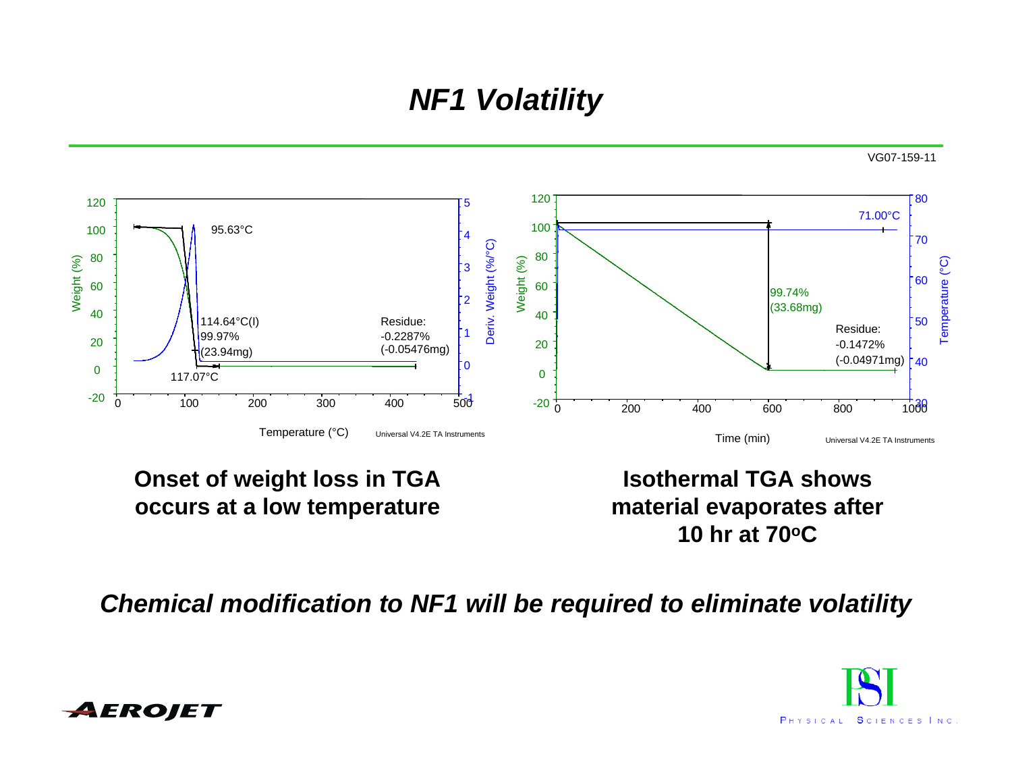# *NF1 Volatility*

![](_page_11_Figure_2.jpeg)

#### **Onset of weight loss in TGA occurs at a low temperature**

**Isothermal TGA shows material evaporates after 10 hr at 70oC**

#### *Chemical modification to NF1 will be required to eliminate volatility*

![](_page_11_Picture_6.jpeg)

![](_page_11_Picture_7.jpeg)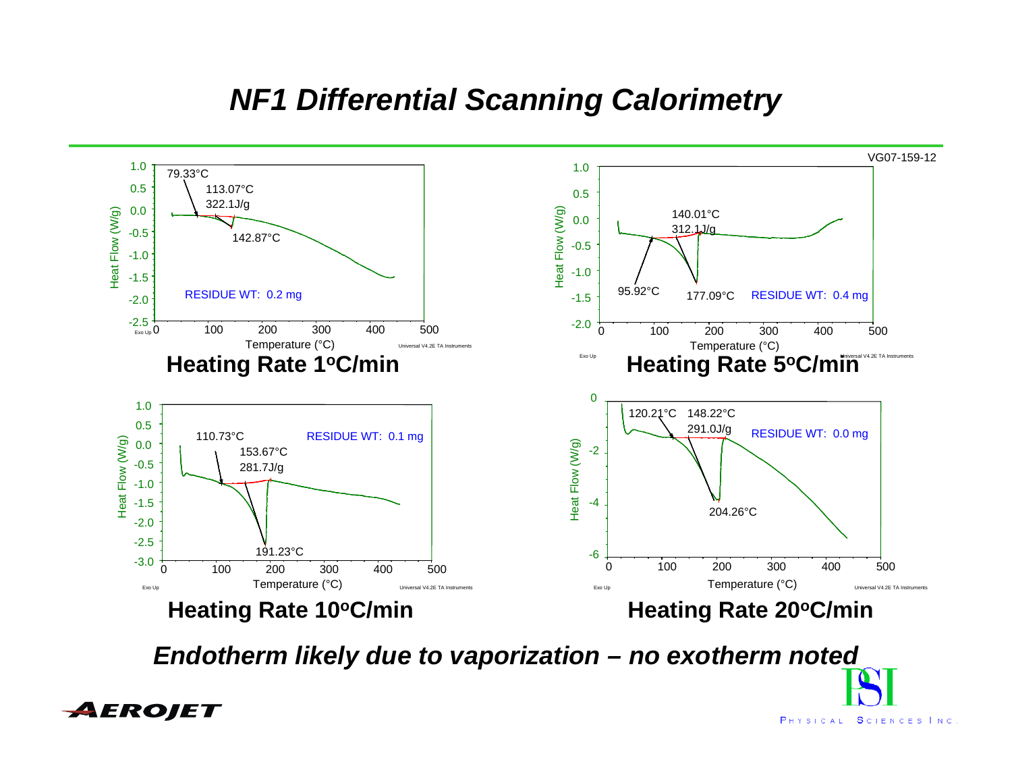### *NF1 Differential Scanning Calorimetry*

![](_page_12_Figure_1.jpeg)

*Endotherm likely due to vaporization – no exotherm noted*

![](_page_12_Picture_3.jpeg)

PHYSICAL SCIENCES INC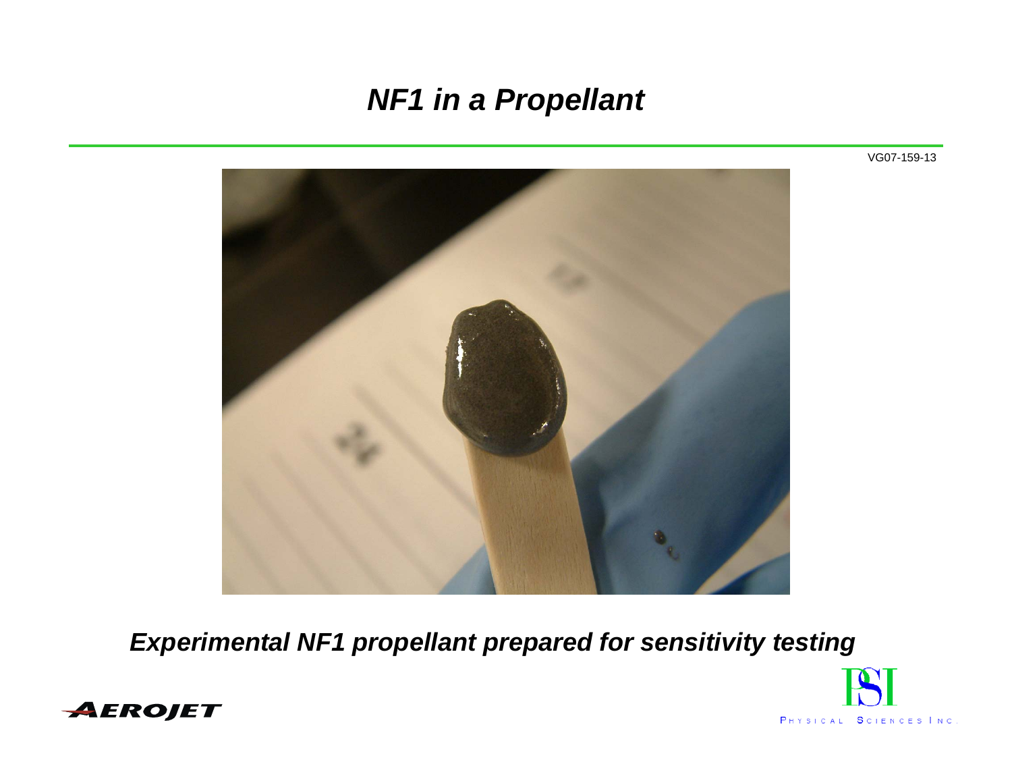### *NF1 in a Propellant*

![](_page_13_Picture_1.jpeg)

*Experimental NF1 propellant prepared for sensitivity testing* 

![](_page_13_Picture_3.jpeg)

![](_page_13_Picture_4.jpeg)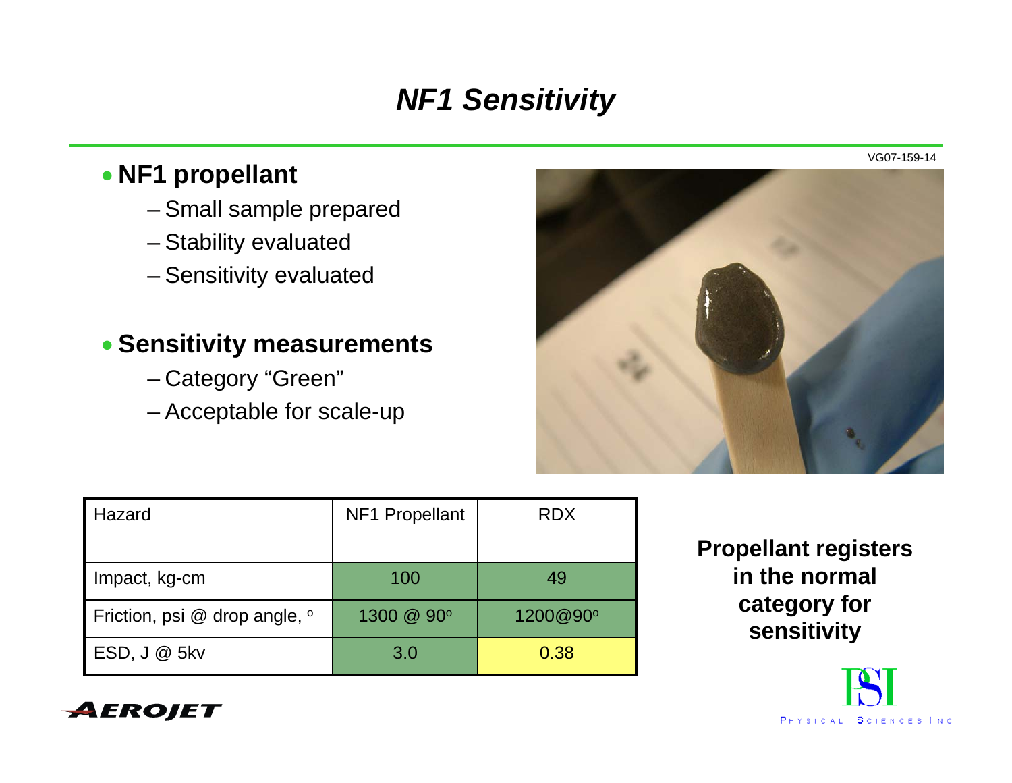# *NF1 Sensitivity*

#### • **NF1 propellant**

- Small sample prepared
- Stability evaluated
- Sensitivity evaluated

#### • **Sensitivity measurements**

- Category "Green"
- Acceptable for scale-up

![](_page_14_Picture_8.jpeg)

| Hazard                            | <b>NF1 Propellant</b> | <b>RDX</b> |
|-----------------------------------|-----------------------|------------|
| Impact, kg-cm                     | 100                   | 49         |
| Friction, psi $@$ drop angle, $°$ | 1300 @ 90°            | 1200@90°   |
| $ESD, J @$ 5kv                    | 3.0                   | 0.38       |

**Propellant registers in the normal category for sensitivity**

![](_page_14_Picture_11.jpeg)

![](_page_14_Picture_13.jpeg)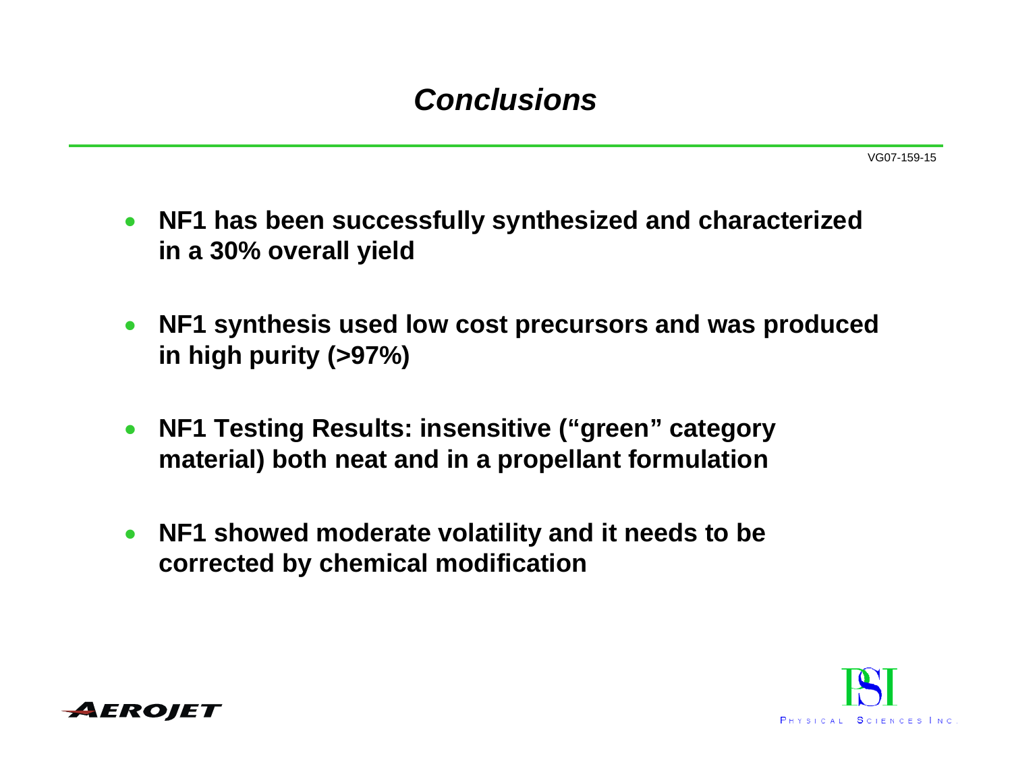## *Conclusions*

- $\bullet$  **NF1 has been successfully synthesized and characterized in a 30% overall yield**
- $\bullet$  **NF1 synthesis used low cost precursors and was produced in high purity (>97%)**
- $\bullet$  **NF1 Testing Results: insensitive ("green" category material) both neat and in a propellant formulation**
- $\bullet$  **NF1 showed moderate volatility and it needs to be corrected by chemical modification**

![](_page_15_Picture_6.jpeg)

![](_page_15_Picture_7.jpeg)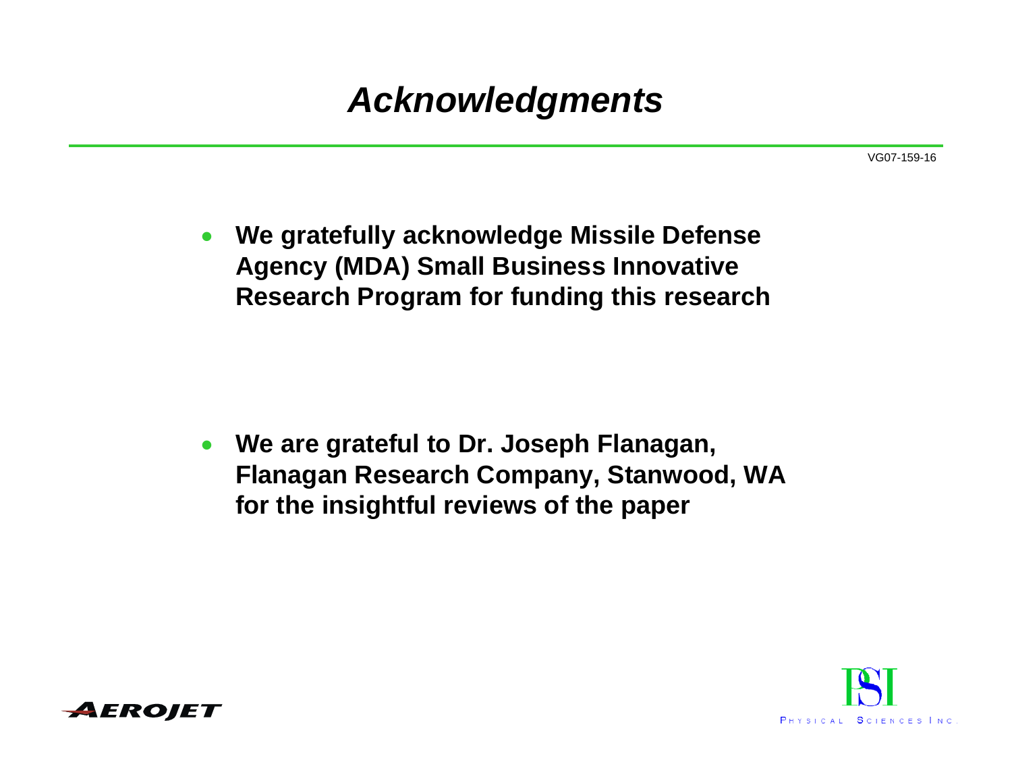# *Acknowledgments*

VG07-159-16

• **We gratefully acknowledge Missile Defense Agency (MDA) Small Business Innovative Research Program for funding this research**

• **We are grateful to Dr. Joseph Flanagan, Flanagan Research Company, Stanwood, WA for the insightful reviews of the paper**

![](_page_16_Picture_4.jpeg)

![](_page_16_Picture_5.jpeg)